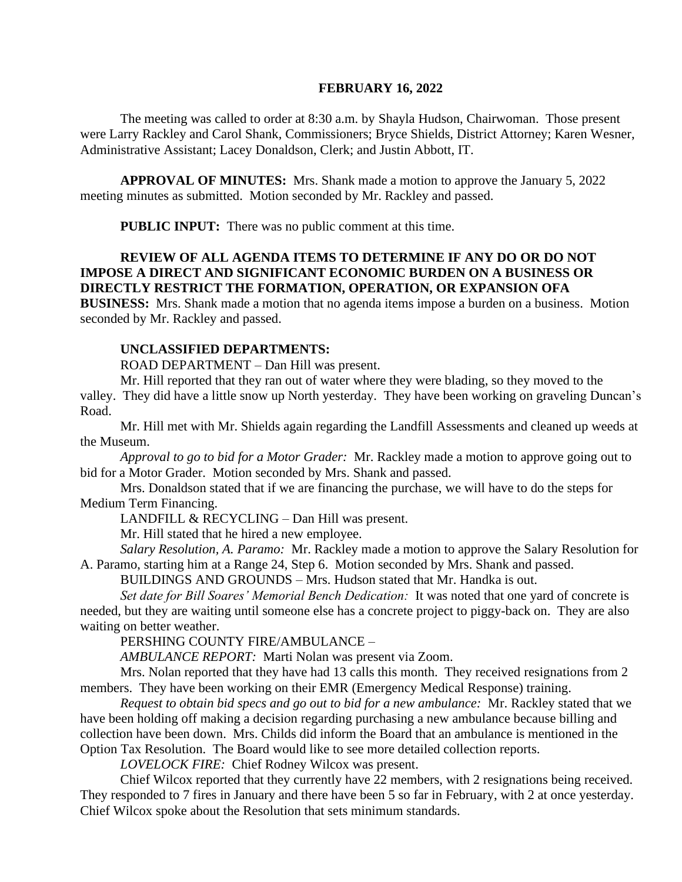#### **FEBRUARY 16, 2022**

The meeting was called to order at 8:30 a.m. by Shayla Hudson, Chairwoman. Those present were Larry Rackley and Carol Shank, Commissioners; Bryce Shields, District Attorney; Karen Wesner, Administrative Assistant; Lacey Donaldson, Clerk; and Justin Abbott, IT.

**APPROVAL OF MINUTES:** Mrs. Shank made a motion to approve the January 5, 2022 meeting minutes as submitted. Motion seconded by Mr. Rackley and passed.

**PUBLIC INPUT:** There was no public comment at this time.

# **REVIEW OF ALL AGENDA ITEMS TO DETERMINE IF ANY DO OR DO NOT IMPOSE A DIRECT AND SIGNIFICANT ECONOMIC BURDEN ON A BUSINESS OR DIRECTLY RESTRICT THE FORMATION, OPERATION, OR EXPANSION OFA**

**BUSINESS:** Mrs. Shank made a motion that no agenda items impose a burden on a business. Motion seconded by Mr. Rackley and passed.

#### **UNCLASSIFIED DEPARTMENTS:**

ROAD DEPARTMENT – Dan Hill was present.

Mr. Hill reported that they ran out of water where they were blading, so they moved to the valley. They did have a little snow up North yesterday. They have been working on graveling Duncan's

Road.

Mr. Hill met with Mr. Shields again regarding the Landfill Assessments and cleaned up weeds at the Museum.

*Approval to go to bid for a Motor Grader:* Mr. Rackley made a motion to approve going out to bid for a Motor Grader. Motion seconded by Mrs. Shank and passed.

Mrs. Donaldson stated that if we are financing the purchase, we will have to do the steps for Medium Term Financing.

LANDFILL & RECYCLING – Dan Hill was present.

Mr. Hill stated that he hired a new employee.

*Salary Resolution, A. Paramo:* Mr. Rackley made a motion to approve the Salary Resolution for A. Paramo, starting him at a Range 24, Step 6. Motion seconded by Mrs. Shank and passed.

BUILDINGS AND GROUNDS – Mrs. Hudson stated that Mr. Handka is out.

*Set date for Bill Soares' Memorial Bench Dedication:* It was noted that one yard of concrete is needed, but they are waiting until someone else has a concrete project to piggy-back on. They are also waiting on better weather.

PERSHING COUNTY FIRE/AMBULANCE –

*AMBULANCE REPORT:* Marti Nolan was present via Zoom.

Mrs. Nolan reported that they have had 13 calls this month. They received resignations from 2 members. They have been working on their EMR (Emergency Medical Response) training.

*Request to obtain bid specs and go out to bid for a new ambulance:* Mr. Rackley stated that we have been holding off making a decision regarding purchasing a new ambulance because billing and collection have been down. Mrs. Childs did inform the Board that an ambulance is mentioned in the Option Tax Resolution. The Board would like to see more detailed collection reports.

*LOVELOCK FIRE:* Chief Rodney Wilcox was present.

Chief Wilcox reported that they currently have 22 members, with 2 resignations being received. They responded to 7 fires in January and there have been 5 so far in February, with 2 at once yesterday. Chief Wilcox spoke about the Resolution that sets minimum standards.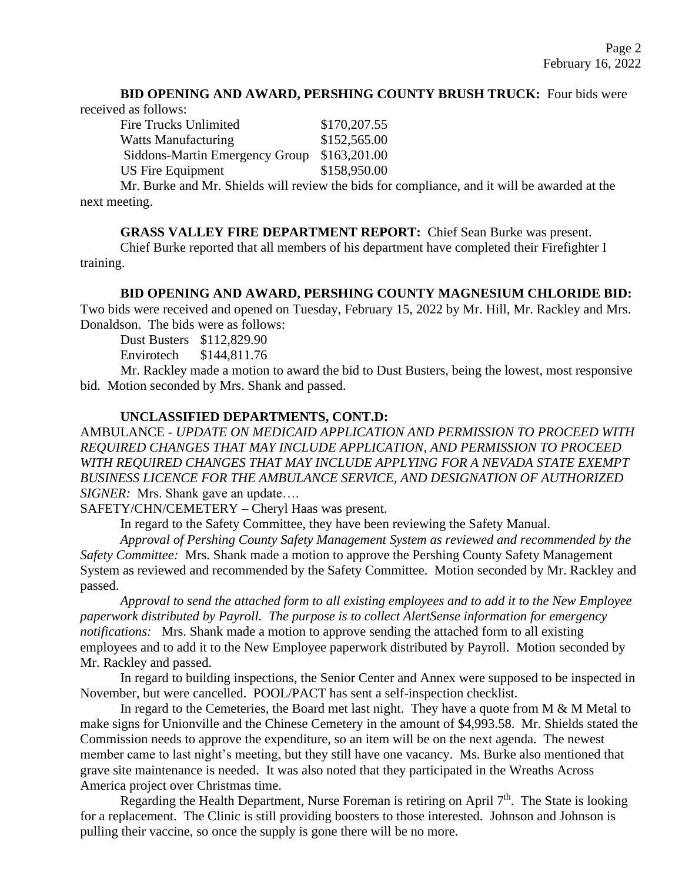# **BID OPENING AND AWARD, PERSHING COUNTY BRUSH TRUCK:** Four bids were

received as follows:

| \$170,207.55 |
|--------------|
| \$152,565.00 |
| \$163,201.00 |
| \$158,950.00 |
|              |

Mr. Burke and Mr. Shields will review the bids for compliance, and it will be awarded at the next meeting.

**GRASS VALLEY FIRE DEPARTMENT REPORT:** Chief Sean Burke was present.

Chief Burke reported that all members of his department have completed their Firefighter I training.

# **BID OPENING AND AWARD, PERSHING COUNTY MAGNESIUM CHLORIDE BID:**

Two bids were received and opened on Tuesday, February 15, 2022 by Mr. Hill, Mr. Rackley and Mrs. Donaldson. The bids were as follows:

Dust Busters \$112,829.90

Envirotech \$144,811.76

Mr. Rackley made a motion to award the bid to Dust Busters, being the lowest, most responsive bid. Motion seconded by Mrs. Shank and passed.

# **UNCLASSIFIED DEPARTMENTS, CONT.D:**

AMBULANCE - *UPDATE ON MEDICAID APPLICATION AND PERMISSION TO PROCEED WITH REQUIRED CHANGES THAT MAY INCLUDE APPLICATION, AND PERMISSION TO PROCEED WITH REQUIRED CHANGES THAT MAY INCLUDE APPLYING FOR A NEVADA STATE EXEMPT BUSINESS LICENCE FOR THE AMBULANCE SERVICE, AND DESIGNATION OF AUTHORIZED SIGNER:*Mrs. Shank gave an update….

SAFETY/CHN/CEMETERY – Cheryl Haas was present.

In regard to the Safety Committee, they have been reviewing the Safety Manual.

*Approval of Pershing County Safety Management System as reviewed and recommended by the Safety Committee:* Mrs. Shank made a motion to approve the Pershing County Safety Management System as reviewed and recommended by the Safety Committee. Motion seconded by Mr. Rackley and passed.

*Approval to send the attached form to all existing employees and to add it to the New Employee paperwork distributed by Payroll. The purpose is to collect AlertSense information for emergency notifications:* Mrs. Shank made a motion to approve sending the attached form to all existing employees and to add it to the New Employee paperwork distributed by Payroll. Motion seconded by Mr. Rackley and passed.

In regard to building inspections, the Senior Center and Annex were supposed to be inspected in November, but were cancelled. POOL/PACT has sent a self-inspection checklist.

In regard to the Cemeteries, the Board met last night. They have a quote from  $M \& M$  Metal to make signs for Unionville and the Chinese Cemetery in the amount of \$4,993.58. Mr. Shields stated the Commission needs to approve the expenditure, so an item will be on the next agenda. The newest member came to last night's meeting, but they still have one vacancy. Ms. Burke also mentioned that grave site maintenance is needed. It was also noted that they participated in the Wreaths Across America project over Christmas time.

Regarding the Health Department, Nurse Foreman is retiring on April 7<sup>th</sup>. The State is looking for a replacement. The Clinic is still providing boosters to those interested. Johnson and Johnson is pulling their vaccine, so once the supply is gone there will be no more.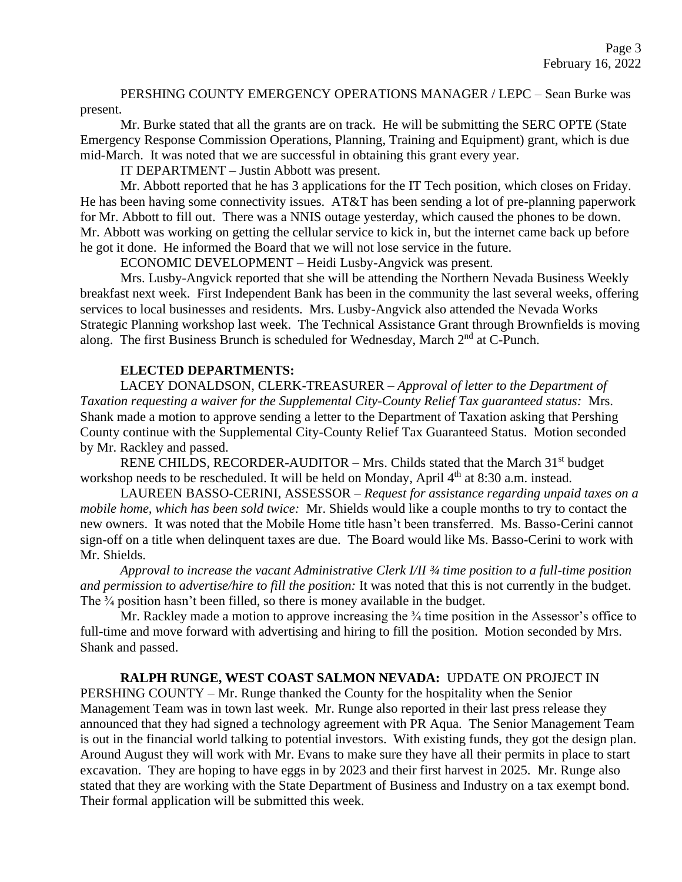PERSHING COUNTY EMERGENCY OPERATIONS MANAGER / LEPC – Sean Burke was present.

Mr. Burke stated that all the grants are on track. He will be submitting the SERC OPTE (State Emergency Response Commission Operations, Planning, Training and Equipment) grant, which is due mid-March. It was noted that we are successful in obtaining this grant every year.

IT DEPARTMENT – Justin Abbott was present.

Mr. Abbott reported that he has 3 applications for the IT Tech position, which closes on Friday. He has been having some connectivity issues. AT&T has been sending a lot of pre-planning paperwork for Mr. Abbott to fill out. There was a NNIS outage yesterday, which caused the phones to be down. Mr. Abbott was working on getting the cellular service to kick in, but the internet came back up before he got it done. He informed the Board that we will not lose service in the future.

ECONOMIC DEVELOPMENT – Heidi Lusby-Angvick was present.

Mrs. Lusby-Angvick reported that she will be attending the Northern Nevada Business Weekly breakfast next week. First Independent Bank has been in the community the last several weeks, offering services to local businesses and residents. Mrs. Lusby-Angvick also attended the Nevada Works Strategic Planning workshop last week. The Technical Assistance Grant through Brownfields is moving along. The first Business Brunch is scheduled for Wednesday, March 2<sup>nd</sup> at C-Punch.

# **ELECTED DEPARTMENTS:**

LACEY DONALDSON, CLERK-TREASURER – *Approval of letter to the Department of Taxation requesting a waiver for the Supplemental City-County Relief Tax guaranteed status:* Mrs. Shank made a motion to approve sending a letter to the Department of Taxation asking that Pershing County continue with the Supplemental City-County Relief Tax Guaranteed Status. Motion seconded by Mr. Rackley and passed.

RENE CHILDS, RECORDER-AUDITOR – Mrs. Childs stated that the March  $31<sup>st</sup>$  budget workshop needs to be rescheduled. It will be held on Monday, April 4<sup>th</sup> at 8:30 a.m. instead.

LAUREEN BASSO-CERINI, ASSESSOR – *Request for assistance regarding unpaid taxes on a mobile home, which has been sold twice:* Mr. Shields would like a couple months to try to contact the new owners. It was noted that the Mobile Home title hasn't been transferred. Ms. Basso-Cerini cannot sign-off on a title when delinquent taxes are due. The Board would like Ms. Basso-Cerini to work with Mr. Shields.

*Approval to increase the vacant Administrative Clerk I/II ¾ time position to a full-time position and permission to advertise/hire to fill the position:* It was noted that this is not currently in the budget. The <sup>3/4</sup> position hasn't been filled, so there is money available in the budget.

Mr. Rackley made a motion to approve increasing the  $\frac{3}{4}$  time position in the Assessor's office to full-time and move forward with advertising and hiring to fill the position. Motion seconded by Mrs. Shank and passed.

#### **RALPH RUNGE, WEST COAST SALMON NEVADA:** UPDATE ON PROJECT IN

PERSHING COUNTY – Mr. Runge thanked the County for the hospitality when the Senior Management Team was in town last week. Mr. Runge also reported in their last press release they announced that they had signed a technology agreement with PR Aqua. The Senior Management Team is out in the financial world talking to potential investors. With existing funds, they got the design plan. Around August they will work with Mr. Evans to make sure they have all their permits in place to start excavation. They are hoping to have eggs in by 2023 and their first harvest in 2025. Mr. Runge also stated that they are working with the State Department of Business and Industry on a tax exempt bond. Their formal application will be submitted this week.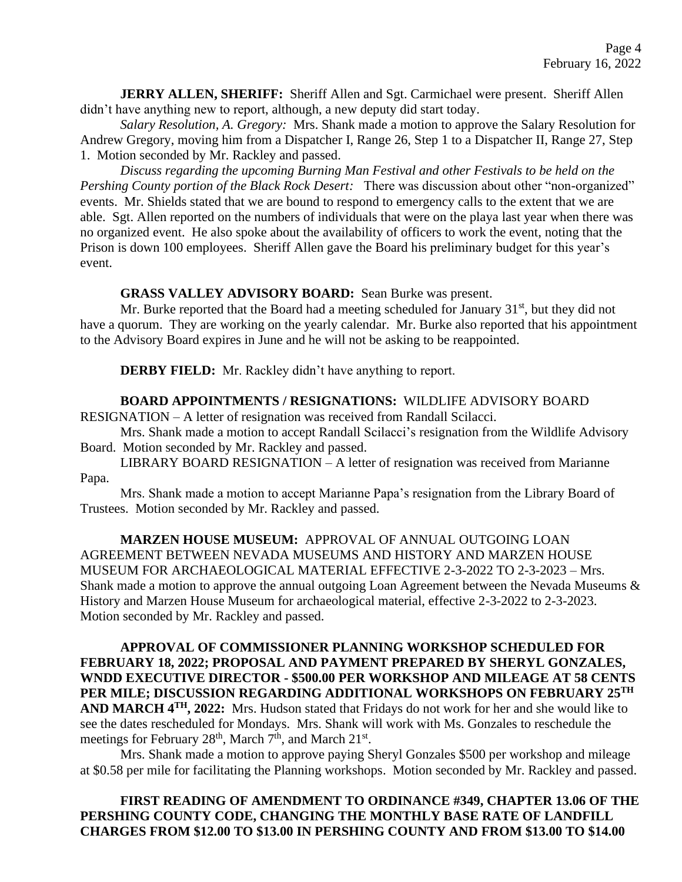**JERRY ALLEN, SHERIFF:** Sheriff Allen and Sgt. Carmichael were present. Sheriff Allen didn't have anything new to report, although, a new deputy did start today.

*Salary Resolution, A. Gregory:* Mrs. Shank made a motion to approve the Salary Resolution for Andrew Gregory, moving him from a Dispatcher I, Range 26, Step 1 to a Dispatcher II, Range 27, Step 1. Motion seconded by Mr. Rackley and passed.

*Discuss regarding the upcoming Burning Man Festival and other Festivals to be held on the Pershing County portion of the Black Rock Desert:* There was discussion about other "non-organized" events. Mr. Shields stated that we are bound to respond to emergency calls to the extent that we are able. Sgt. Allen reported on the numbers of individuals that were on the playa last year when there was no organized event. He also spoke about the availability of officers to work the event, noting that the Prison is down 100 employees. Sheriff Allen gave the Board his preliminary budget for this year's event.

#### **GRASS VALLEY ADVISORY BOARD:** Sean Burke was present.

Mr. Burke reported that the Board had a meeting scheduled for January  $31<sup>st</sup>$ , but they did not have a quorum. They are working on the yearly calendar. Mr. Burke also reported that his appointment to the Advisory Board expires in June and he will not be asking to be reappointed.

**DERBY FIELD:** Mr. Rackley didn't have anything to report.

**BOARD APPOINTMENTS / RESIGNATIONS:** WILDLIFE ADVISORY BOARD RESIGNATION – A letter of resignation was received from Randall Scilacci.

Mrs. Shank made a motion to accept Randall Scilacci's resignation from the Wildlife Advisory Board. Motion seconded by Mr. Rackley and passed.

LIBRARY BOARD RESIGNATION – A letter of resignation was received from Marianne Papa.

Mrs. Shank made a motion to accept Marianne Papa's resignation from the Library Board of Trustees. Motion seconded by Mr. Rackley and passed.

**MARZEN HOUSE MUSEUM:** APPROVAL OF ANNUAL OUTGOING LOAN AGREEMENT BETWEEN NEVADA MUSEUMS AND HISTORY AND MARZEN HOUSE MUSEUM FOR ARCHAEOLOGICAL MATERIAL EFFECTIVE 2-3-2022 TO 2-3-2023 – Mrs. Shank made a motion to approve the annual outgoing Loan Agreement between the Nevada Museums & History and Marzen House Museum for archaeological material, effective 2-3-2022 to 2-3-2023. Motion seconded by Mr. Rackley and passed.

**APPROVAL OF COMMISSIONER PLANNING WORKSHOP SCHEDULED FOR FEBRUARY 18, 2022; PROPOSAL AND PAYMENT PREPARED BY SHERYL GONZALES, WNDD EXECUTIVE DIRECTOR - \$500.00 PER WORKSHOP AND MILEAGE AT 58 CENTS PER MILE; DISCUSSION REGARDING ADDITIONAL WORKSHOPS ON FEBRUARY 25TH AND MARCH 4TH, 2022:** Mrs. Hudson stated that Fridays do not work for her and she would like to see the dates rescheduled for Mondays. Mrs. Shank will work with Ms. Gonzales to reschedule the meetings for February  $28<sup>th</sup>$ , March  $7<sup>th</sup>$ , and March  $21<sup>st</sup>$ .

Mrs. Shank made a motion to approve paying Sheryl Gonzales \$500 per workshop and mileage at \$0.58 per mile for facilitating the Planning workshops. Motion seconded by Mr. Rackley and passed.

**FIRST READING OF AMENDMENT TO ORDINANCE #349, CHAPTER 13.06 OF THE PERSHING COUNTY CODE, CHANGING THE MONTHLY BASE RATE OF LANDFILL CHARGES FROM \$12.00 TO \$13.00 IN PERSHING COUNTY AND FROM \$13.00 TO \$14.00**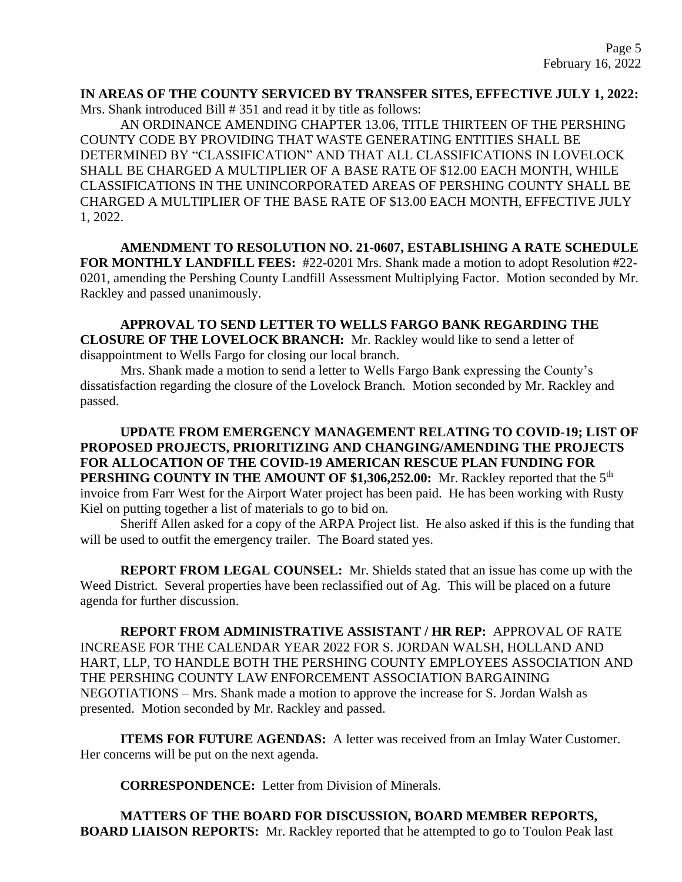### **IN AREAS OF THE COUNTY SERVICED BY TRANSFER SITES, EFFECTIVE JULY 1, 2022:**  Mrs. Shank introduced Bill # 351 and read it by title as follows:

AN ORDINANCE AMENDING CHAPTER 13.06, TITLE THIRTEEN OF THE PERSHING COUNTY CODE BY PROVIDING THAT WASTE GENERATING ENTITIES SHALL BE DETERMINED BY "CLASSIFICATION" AND THAT ALL CLASSIFICATIONS IN LOVELOCK SHALL BE CHARGED A MULTIPLIER OF A BASE RATE OF \$12.00 EACH MONTH, WHILE CLASSIFICATIONS IN THE UNINCORPORATED AREAS OF PERSHING COUNTY SHALL BE CHARGED A MULTIPLIER OF THE BASE RATE OF \$13.00 EACH MONTH, EFFECTIVE JULY 1, 2022.

**AMENDMENT TO RESOLUTION NO. 21-0607, ESTABLISHING A RATE SCHEDULE FOR MONTHLY LANDFILL FEES:** #22-0201 Mrs. Shank made a motion to adopt Resolution #22- 0201, amending the Pershing County Landfill Assessment Multiplying Factor. Motion seconded by Mr. Rackley and passed unanimously.

**APPROVAL TO SEND LETTER TO WELLS FARGO BANK REGARDING THE CLOSURE OF THE LOVELOCK BRANCH:** Mr. Rackley would like to send a letter of disappointment to Wells Fargo for closing our local branch.

Mrs. Shank made a motion to send a letter to Wells Fargo Bank expressing the County's dissatisfaction regarding the closure of the Lovelock Branch. Motion seconded by Mr. Rackley and passed.

**UPDATE FROM EMERGENCY MANAGEMENT RELATING TO COVID-19; LIST OF PROPOSED PROJECTS, PRIORITIZING AND CHANGING/AMENDING THE PROJECTS FOR ALLOCATION OF THE COVID-19 AMERICAN RESCUE PLAN FUNDING FOR PERSHING COUNTY IN THE AMOUNT OF \$1,306,252.00:** Mr. Rackley reported that the 5<sup>th</sup> invoice from Farr West for the Airport Water project has been paid. He has been working with Rusty Kiel on putting together a list of materials to go to bid on.

Sheriff Allen asked for a copy of the ARPA Project list. He also asked if this is the funding that will be used to outfit the emergency trailer. The Board stated yes.

**REPORT FROM LEGAL COUNSEL:** Mr. Shields stated that an issue has come up with the Weed District. Several properties have been reclassified out of Ag. This will be placed on a future agenda for further discussion.

**REPORT FROM ADMINISTRATIVE ASSISTANT / HR REP:** APPROVAL OF RATE INCREASE FOR THE CALENDAR YEAR 2022 FOR S. JORDAN WALSH, HOLLAND AND HART, LLP, TO HANDLE BOTH THE PERSHING COUNTY EMPLOYEES ASSOCIATION AND THE PERSHING COUNTY LAW ENFORCEMENT ASSOCIATION BARGAINING NEGOTIATIONS – Mrs. Shank made a motion to approve the increase for S. Jordan Walsh as presented. Motion seconded by Mr. Rackley and passed.

**ITEMS FOR FUTURE AGENDAS:** A letter was received from an Imlay Water Customer. Her concerns will be put on the next agenda.

**CORRESPONDENCE:** Letter from Division of Minerals.

**MATTERS OF THE BOARD FOR DISCUSSION, BOARD MEMBER REPORTS, BOARD LIAISON REPORTS:** Mr. Rackley reported that he attempted to go to Toulon Peak last